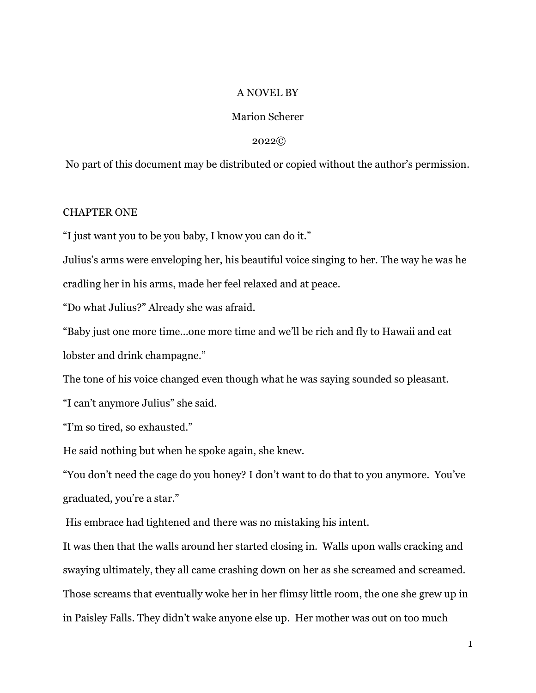## A NOVEL BY

# Marion Scherer

#### 2022©

No part of this document may be distributed or copied without the author's permission.

### CHAPTER ONE

"I just want you to be you baby, I know you can do it."

Julius's arms were enveloping her, his beautiful voice singing to her. The way he was he cradling her in his arms, made her feel relaxed and at peace.

"Do what Julius?" Already she was afraid.

"Baby just one more time…one more time and we'll be rich and fly to Hawaii and eat lobster and drink champagne."

The tone of his voice changed even though what he was saying sounded so pleasant.

"I can't anymore Julius" she said.

"I'm so tired, so exhausted."

He said nothing but when he spoke again, she knew.

"You don't need the cage do you honey? I don't want to do that to you anymore. You've graduated, you're a star."

His embrace had tightened and there was no mistaking his intent.

It was then that the walls around her started closing in. Walls upon walls cracking and swaying ultimately, they all came crashing down on her as she screamed and screamed. Those screams that eventually woke her in her flimsy little room, the one she grew up in in Paisley Falls. They didn't wake anyone else up. Her mother was out on too much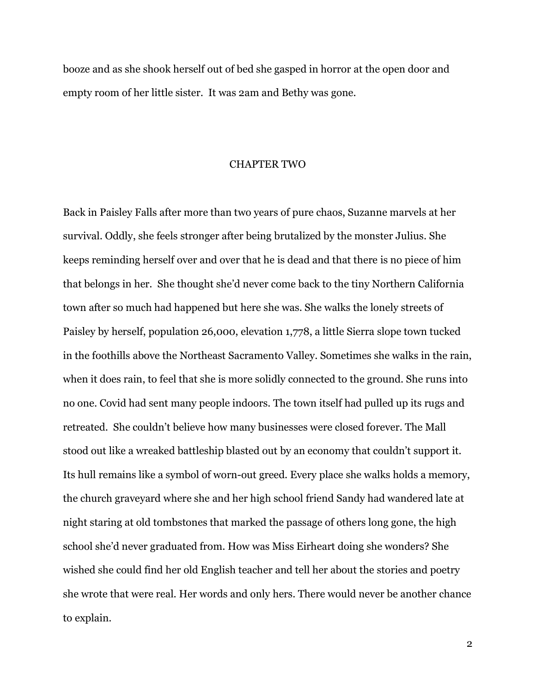booze and as she shook herself out of bed she gasped in horror at the open door and empty room of her little sister. It was 2am and Bethy was gone.

#### CHAPTER TWO

Back in Paisley Falls after more than two years of pure chaos, Suzanne marvels at her survival. Oddly, she feels stronger after being brutalized by the monster Julius. She keeps reminding herself over and over that he is dead and that there is no piece of him that belongs in her. She thought she'd never come back to the tiny Northern California town after so much had happened but here she was. She walks the lonely streets of Paisley by herself, population 26,000, elevation 1,778, a little Sierra slope town tucked in the foothills above the Northeast Sacramento Valley. Sometimes she walks in the rain, when it does rain, to feel that she is more solidly connected to the ground. She runs into no one. Covid had sent many people indoors. The town itself had pulled up its rugs and retreated. She couldn't believe how many businesses were closed forever. The Mall stood out like a wreaked battleship blasted out by an economy that couldn't support it. Its hull remains like a symbol of worn-out greed. Every place she walks holds a memory, the church graveyard where she and her high school friend Sandy had wandered late at night staring at old tombstones that marked the passage of others long gone, the high school she'd never graduated from. How was Miss Eirheart doing she wonders? She wished she could find her old English teacher and tell her about the stories and poetry she wrote that were real. Her words and only hers. There would never be another chance to explain.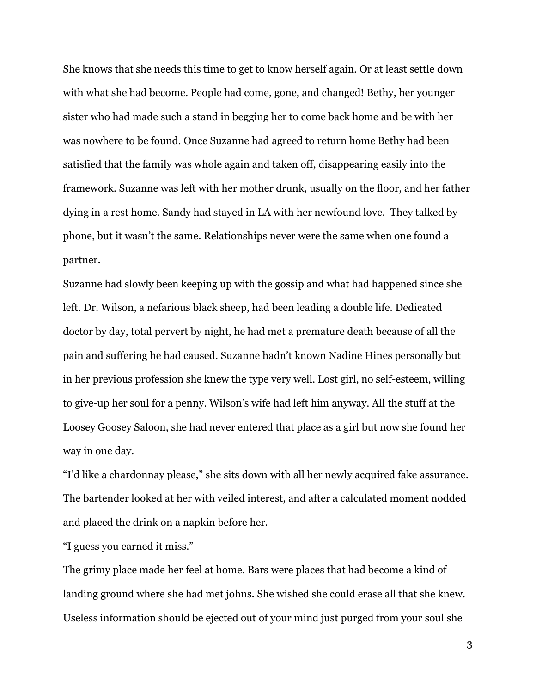She knows that she needs this time to get to know herself again. Or at least settle down with what she had become. People had come, gone, and changed! Bethy, her younger sister who had made such a stand in begging her to come back home and be with her was nowhere to be found. Once Suzanne had agreed to return home Bethy had been satisfied that the family was whole again and taken off, disappearing easily into the framework. Suzanne was left with her mother drunk, usually on the floor, and her father dying in a rest home. Sandy had stayed in LA with her newfound love. They talked by phone, but it wasn't the same. Relationships never were the same when one found a partner.

Suzanne had slowly been keeping up with the gossip and what had happened since she left. Dr. Wilson, a nefarious black sheep, had been leading a double life. Dedicated doctor by day, total pervert by night, he had met a premature death because of all the pain and suffering he had caused. Suzanne hadn't known Nadine Hines personally but in her previous profession she knew the type very well. Lost girl, no self-esteem, willing to give-up her soul for a penny. Wilson's wife had left him anyway. All the stuff at the Loosey Goosey Saloon, she had never entered that place as a girl but now she found her way in one day.

"I'd like a chardonnay please," she sits down with all her newly acquired fake assurance. The bartender looked at her with veiled interest, and after a calculated moment nodded and placed the drink on a napkin before her.

"I guess you earned it miss."

The grimy place made her feel at home. Bars were places that had become a kind of landing ground where she had met johns. She wished she could erase all that she knew. Useless information should be ejected out of your mind just purged from your soul she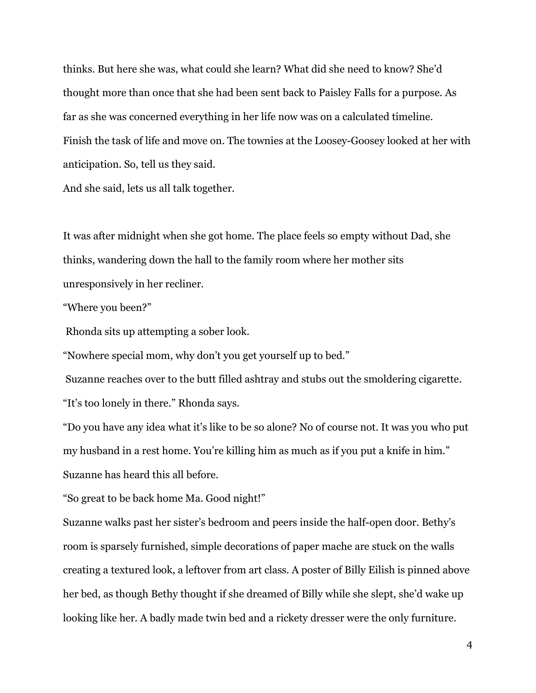thinks. But here she was, what could she learn? What did she need to know? She'd thought more than once that she had been sent back to Paisley Falls for a purpose. As far as she was concerned everything in her life now was on a calculated timeline. Finish the task of life and move on. The townies at the Loosey-Goosey looked at her with anticipation. So, tell us they said.

And she said, lets us all talk together.

It was after midnight when she got home. The place feels so empty without Dad, she thinks, wandering down the hall to the family room where her mother sits unresponsively in her recliner.

"Where you been?"

Rhonda sits up attempting a sober look.

"Nowhere special mom, why don't you get yourself up to bed."

 Suzanne reaches over to the butt filled ashtray and stubs out the smoldering cigarette. "It's too lonely in there." Rhonda says.

"Do you have any idea what it's like to be so alone? No of course not. It was you who put my husband in a rest home. You're killing him as much as if you put a knife in him." Suzanne has heard this all before.

"So great to be back home Ma. Good night!"

Suzanne walks past her sister's bedroom and peers inside the half-open door. Bethy's room is sparsely furnished, simple decorations of paper mache are stuck on the walls creating a textured look, a leftover from art class. A poster of Billy Eilish is pinned above her bed, as though Bethy thought if she dreamed of Billy while she slept, she'd wake up looking like her. A badly made twin bed and a rickety dresser were the only furniture.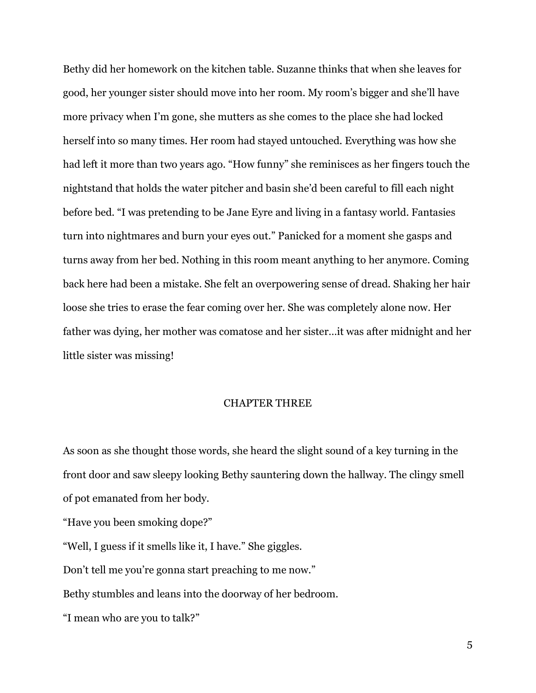Bethy did her homework on the kitchen table. Suzanne thinks that when she leaves for good, her younger sister should move into her room. My room's bigger and she'll have more privacy when I'm gone, she mutters as she comes to the place she had locked herself into so many times. Her room had stayed untouched. Everything was how she had left it more than two years ago. "How funny" she reminisces as her fingers touch the nightstand that holds the water pitcher and basin she'd been careful to fill each night before bed. "I was pretending to be Jane Eyre and living in a fantasy world. Fantasies turn into nightmares and burn your eyes out." Panicked for a moment she gasps and turns away from her bed. Nothing in this room meant anything to her anymore. Coming back here had been a mistake. She felt an overpowering sense of dread. Shaking her hair loose she tries to erase the fear coming over her. She was completely alone now. Her father was dying, her mother was comatose and her sister…it was after midnight and her little sister was missing!

### CHAPTER THREE

As soon as she thought those words, she heard the slight sound of a key turning in the front door and saw sleepy looking Bethy sauntering down the hallway. The clingy smell of pot emanated from her body.

"Have you been smoking dope?"

"Well, I guess if it smells like it, I have." She giggles.

Don't tell me you're gonna start preaching to me now."

Bethy stumbles and leans into the doorway of her bedroom.

"I mean who are you to talk?"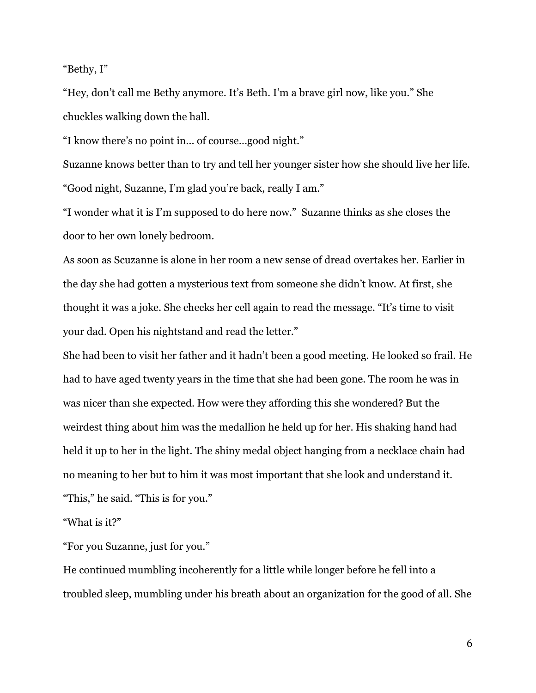"Bethy, I"

"Hey, don't call me Bethy anymore. It's Beth. I'm a brave girl now, like you." She chuckles walking down the hall.

"I know there's no point in… of course…good night."

Suzanne knows better than to try and tell her younger sister how she should live her life. "Good night, Suzanne, I'm glad you're back, really I am."

"I wonder what it is I'm supposed to do here now." Suzanne thinks as she closes the door to her own lonely bedroom.

As soon as Scuzanne is alone in her room a new sense of dread overtakes her. Earlier in the day she had gotten a mysterious text from someone she didn't know. At first, she thought it was a joke. She checks her cell again to read the message. "It's time to visit your dad. Open his nightstand and read the letter."

She had been to visit her father and it hadn't been a good meeting. He looked so frail. He had to have aged twenty years in the time that she had been gone. The room he was in was nicer than she expected. How were they affording this she wondered? But the weirdest thing about him was the medallion he held up for her. His shaking hand had held it up to her in the light. The shiny medal object hanging from a necklace chain had no meaning to her but to him it was most important that she look and understand it. "This," he said. "This is for you."

"What is it?"

"For you Suzanne, just for you."

He continued mumbling incoherently for a little while longer before he fell into a troubled sleep, mumbling under his breath about an organization for the good of all. She

6